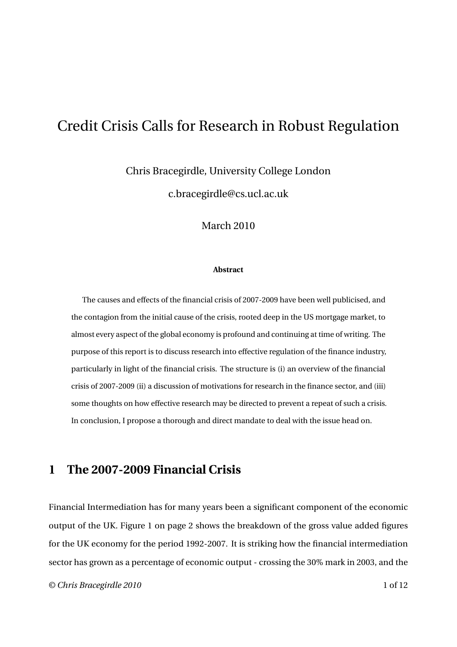Chris Bracegirdle, University College London

c.bracegirdle@cs.ucl.ac.uk

March 2010

#### **Abstract**

The causes and effects of the financial crisis of 2007-2009 have been well publicised, and the contagion from the initial cause of the crisis, rooted deep in the US mortgage market, to almost every aspect of the global economy is profound and continuing at time of writing. The purpose of this report is to discuss research into effective regulation of the finance industry, particularly in light of the financial crisis. The structure is (i) an overview of the financial crisis of 2007-2009 (ii) a discussion of motivations for research in the finance sector, and (iii) some thoughts on how effective research may be directed to prevent a repeat of such a crisis. In conclusion, I propose a thorough and direct mandate to deal with the issue head on.

### **1 The 2007-2009 Financial Crisis**

Financial Intermediation has for many years been a significant component of the economic output of the UK. Figure 1 on page 2 shows the breakdown of the gross value added figures for the UK economy for the period 1992-2007. It is striking how the financial intermediation sector has grown as a percentage of economic output - crossing the 30% mark in 2003, and the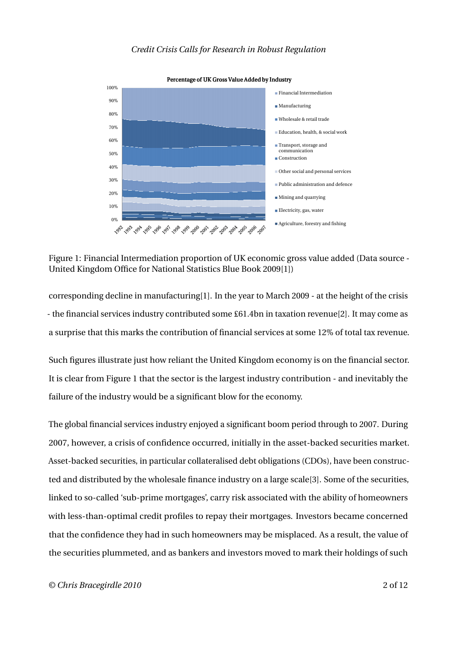

Figure 1: Financial Intermediation proportion of UK economic gross value added (Data source - United Kingdom Office for National Statistics Blue Book 2009[1])

corresponding decline in manufacturing[1]. In the year to March 2009 - at the height of the crisis - the financial services industry contributed some £61.4bn in taxation revenue[2]. It may come as a surprise that this marks the contribution of financial services at some 12% of total tax revenue.

Such figures illustrate just how reliant the United Kingdom economy is on the financial sector. It is clear from Figure 1 that the sector is the largest industry contribution - and inevitably the failure of the industry would be a significant blow for the economy.

The global financial services industry enjoyed a significant boom period through to 2007. During 2007, however, a crisis of confidence occurred, initially in the asset-backed securities market. Asset-backed securities, in particular collateralised debt obligations (CDOs), have been constructed and distributed by the wholesale finance industry on a large scale[3]. Some of the securities, linked to so-called 'sub-prime mortgages', carry risk associated with the ability of homeowners with less-than-optimal credit profiles to repay their mortgages. Investors became concerned that the confidence they had in such homeowners may be misplaced. As a result, the value of the securities plummeted, and as bankers and investors moved to mark their holdings of such

*© Chris Bracegirdle 2010* 2 of 12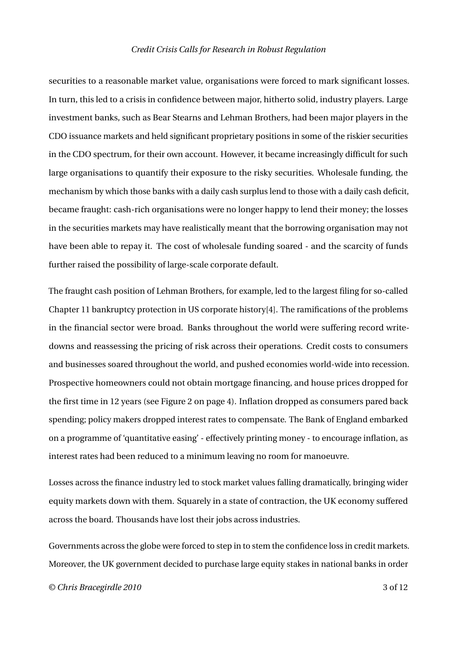securities to a reasonable market value, organisations were forced to mark significant losses. In turn, this led to a crisis in confidence between major, hitherto solid, industry players. Large investment banks, such as Bear Stearns and Lehman Brothers, had been major players in the CDO issuance markets and held significant proprietary positions in some of the riskier securities in the CDO spectrum, for their own account. However, it became increasingly difficult for such large organisations to quantify their exposure to the risky securities. Wholesale funding, the mechanism by which those banks with a daily cash surplus lend to those with a daily cash deficit, became fraught: cash-rich organisations were no longer happy to lend their money; the losses in the securities markets may have realistically meant that the borrowing organisation may not have been able to repay it. The cost of wholesale funding soared - and the scarcity of funds further raised the possibility of large-scale corporate default.

The fraught cash position of Lehman Brothers, for example, led to the largest filing for so-called Chapter 11 bankruptcy protection in US corporate history[4]. The ramifications of the problems in the financial sector were broad. Banks throughout the world were suffering record writedowns and reassessing the pricing of risk across their operations. Credit costs to consumers and businesses soared throughout the world, and pushed economies world-wide into recession. Prospective homeowners could not obtain mortgage financing, and house prices dropped for the first time in 12 years (see Figure 2 on page 4). Inflation dropped as consumers pared back spending; policy makers dropped interest rates to compensate. The Bank of England embarked on a programme of 'quantitative easing' - effectively printing money - to encourage inflation, as interest rates had been reduced to a minimum leaving no room for manoeuvre.

Losses across the finance industry led to stock market values falling dramatically, bringing wider equity markets down with them. Squarely in a state of contraction, the UK economy suffered across the board. Thousands have lost their jobs across industries.

Governments across the globe were forced to step in to stem the confidence loss in credit markets. Moreover, the UK government decided to purchase large equity stakes in national banks in order

*© Chris Bracegirdle 2010* 3 of 12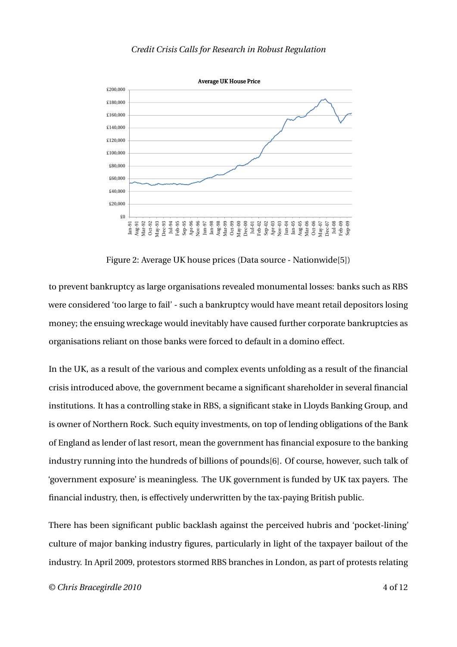

Figure 2: Average UK house prices (Data source - Nationwide[5])

to prevent bankruptcy as large organisations revealed monumental losses: banks such as RBS were considered 'too large to fail' - such a bankruptcy would have meant retail depositors losing money; the ensuing wreckage would inevitably have caused further corporate bankruptcies as organisations reliant on those banks were forced to default in a domino effect.

In the UK, as a result of the various and complex events unfolding as a result of the financial crisis introduced above, the government became a significant shareholder in several financial institutions. It has a controlling stake in RBS, a significant stake in Lloyds Banking Group, and is owner of Northern Rock. Such equity investments, on top of lending obligations of the Bank of England as lender of last resort, mean the government has financial exposure to the banking industry running into the hundreds of billions of pounds[6]. Of course, however, such talk of 'government exposure' is meaningless. The UK government is funded by UK tax payers. The financial industry, then, is effectively underwritten by the tax-paying British public.

There has been significant public backlash against the perceived hubris and 'pocket-lining' culture of major banking industry figures, particularly in light of the taxpayer bailout of the industry. In April 2009, protestors stormed RBS branches in London, as part of protests relating

*© Chris Bracegirdle 2010* 4 of 12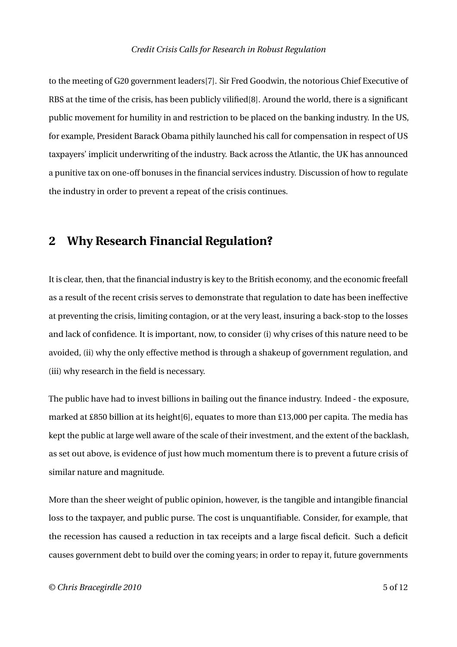to the meeting of G20 government leaders[7]. Sir Fred Goodwin, the notorious Chief Executive of RBS at the time of the crisis, has been publicly vilified[8]. Around the world, there is a significant public movement for humility in and restriction to be placed on the banking industry. In the US, for example, President Barack Obama pithily launched his call for compensation in respect of US taxpayers' implicit underwriting of the industry. Back across the Atlantic, the UK has announced a punitive tax on one-off bonuses in the financial services industry. Discussion of how to regulate the industry in order to prevent a repeat of the crisis continues.

## **2 Why Research Financial Regulation?**

It is clear, then, that the financial industry is key to the British economy, and the economic freefall as a result of the recent crisis serves to demonstrate that regulation to date has been ineffective at preventing the crisis, limiting contagion, or at the very least, insuring a back-stop to the losses and lack of confidence. It is important, now, to consider (i) why crises of this nature need to be avoided, (ii) why the only effective method is through a shakeup of government regulation, and (iii) why research in the field is necessary.

The public have had to invest billions in bailing out the finance industry. Indeed - the exposure, marked at £850 billion at its height[6], equates to more than £13,000 per capita. The media has kept the public at large well aware of the scale of their investment, and the extent of the backlash, as set out above, is evidence of just how much momentum there is to prevent a future crisis of similar nature and magnitude.

More than the sheer weight of public opinion, however, is the tangible and intangible financial loss to the taxpayer, and public purse. The cost is unquantifiable. Consider, for example, that the recession has caused a reduction in tax receipts and a large fiscal deficit. Such a deficit causes government debt to build over the coming years; in order to repay it, future governments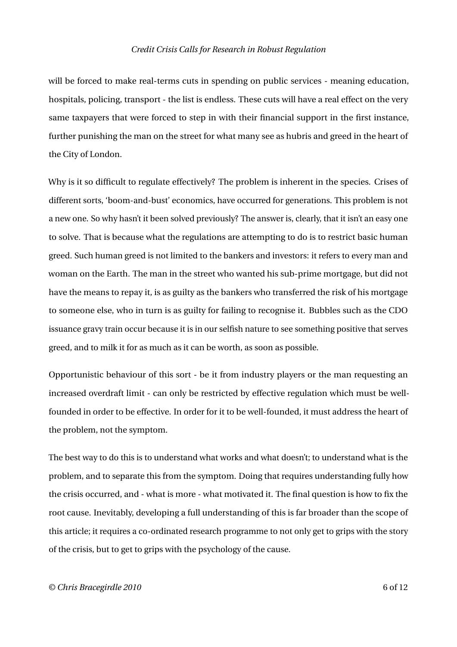will be forced to make real-terms cuts in spending on public services - meaning education, hospitals, policing, transport - the list is endless. These cuts will have a real effect on the very same taxpayers that were forced to step in with their financial support in the first instance, further punishing the man on the street for what many see as hubris and greed in the heart of the City of London.

Why is it so difficult to regulate effectively? The problem is inherent in the species. Crises of different sorts, 'boom-and-bust' economics, have occurred for generations. This problem is not a new one. So why hasn't it been solved previously? The answer is, clearly, that it isn't an easy one to solve. That is because what the regulations are attempting to do is to restrict basic human greed. Such human greed is not limited to the bankers and investors: it refers to every man and woman on the Earth. The man in the street who wanted his sub-prime mortgage, but did not have the means to repay it, is as guilty as the bankers who transferred the risk of his mortgage to someone else, who in turn is as guilty for failing to recognise it. Bubbles such as the CDO issuance gravy train occur because it is in our selfish nature to see something positive that serves greed, and to milk it for as much as it can be worth, as soon as possible.

Opportunistic behaviour of this sort - be it from industry players or the man requesting an increased overdraft limit - can only be restricted by effective regulation which must be wellfounded in order to be effective. In order for it to be well-founded, it must address the heart of the problem, not the symptom.

The best way to do this is to understand what works and what doesn't; to understand what is the problem, and to separate this from the symptom. Doing that requires understanding fully how the crisis occurred, and - what is more - what motivated it. The final question is how to fix the root cause. Inevitably, developing a full understanding of this is far broader than the scope of this article; it requires a co-ordinated research programme to not only get to grips with the story of the crisis, but to get to grips with the psychology of the cause.

#### *© Chris Bracegirdle 2010* 6 of 12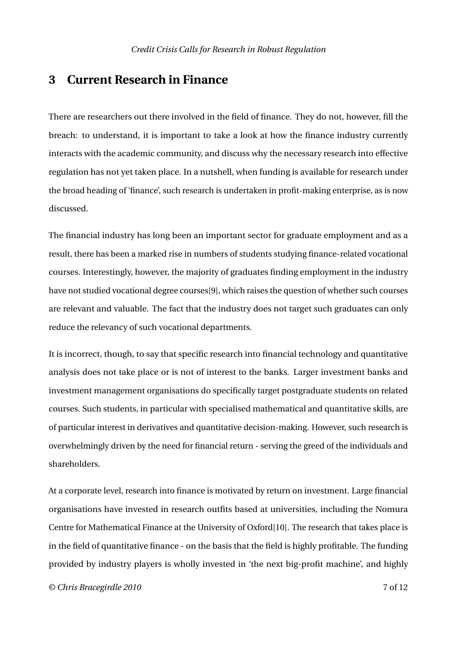### **3 Current Research in Finance**

There are researchers out there involved in the field of finance. They do not, however, fill the breach: to understand, it is important to take a look at how the finance industry currently interacts with the academic community, and discuss why the necessary research into effective regulation has not yet taken place. In a nutshell, when funding is available for research under the broad heading of 'finance', such research is undertaken in profit-making enterprise, as is now discussed.

The financial industry has long been an important sector for graduate employment and as a result, there has been a marked rise in numbers of students studying finance-related vocational courses. Interestingly, however, the majority of graduates finding employment in the industry have not studied vocational degree courses[9], which raises the question of whether such courses are relevant and valuable. The fact that the industry does not target such graduates can only reduce the relevancy of such vocational departments.

It is incorrect, though, to say that specific research into financial technology and quantitative analysis does not take place or is not of interest to the banks. Larger investment banks and investment management organisations do specifically target postgraduate students on related courses. Such students, in particular with specialised mathematical and quantitative skills, are of particular interest in derivatives and quantitative decision-making. However, such research is overwhelmingly driven by the need for financial return - serving the greed of the individuals and shareholders.

At a corporate level, research into finance is motivated by return on investment. Large financial organisations have invested in research outfits based at universities, including the Nomura Centre for Mathematical Finance at the University of Oxford[10]. The research that takes place is in the field of quantitative finance - on the basis that the field is highly profitable. The funding provided by industry players is wholly invested in 'the next big-profit machine', and highly

*© Chris Bracegirdle 2010* 7 of 12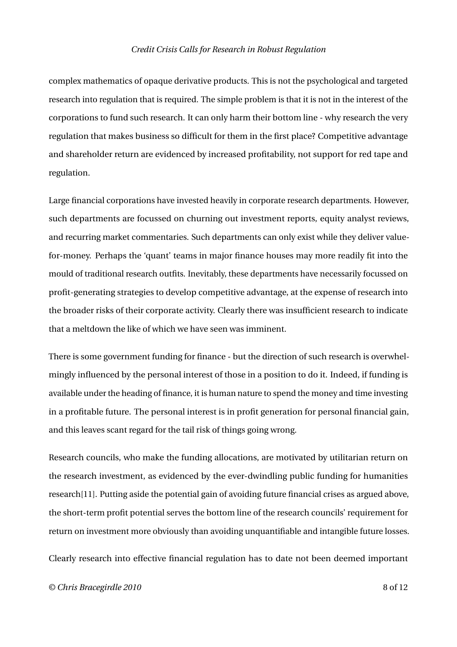complex mathematics of opaque derivative products. This is not the psychological and targeted research into regulation that is required. The simple problem is that it is not in the interest of the corporations to fund such research. It can only harm their bottom line - why research the very regulation that makes business so difficult for them in the first place? Competitive advantage and shareholder return are evidenced by increased profitability, not support for red tape and regulation.

Large financial corporations have invested heavily in corporate research departments. However, such departments are focussed on churning out investment reports, equity analyst reviews, and recurring market commentaries. Such departments can only exist while they deliver valuefor-money. Perhaps the 'quant' teams in major finance houses may more readily fit into the mould of traditional research outfits. Inevitably, these departments have necessarily focussed on profit-generating strategies to develop competitive advantage, at the expense of research into the broader risks of their corporate activity. Clearly there was insufficient research to indicate that a meltdown the like of which we have seen was imminent.

There is some government funding for finance - but the direction of such research is overwhelmingly influenced by the personal interest of those in a position to do it. Indeed, if funding is available under the heading of finance, it is human nature to spend the money and time investing in a profitable future. The personal interest is in profit generation for personal financial gain, and this leaves scant regard for the tail risk of things going wrong.

Research councils, who make the funding allocations, are motivated by utilitarian return on the research investment, as evidenced by the ever-dwindling public funding for humanities research[11]. Putting aside the potential gain of avoiding future financial crises as argued above, the short-term profit potential serves the bottom line of the research councils' requirement for return on investment more obviously than avoiding unquantifiable and intangible future losses.

Clearly research into effective financial regulation has to date not been deemed important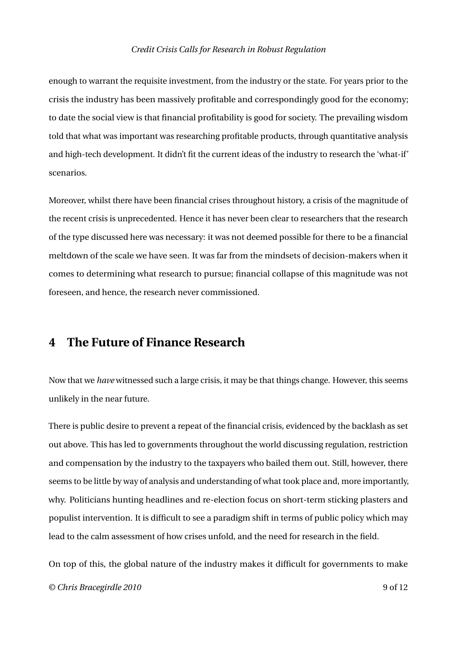enough to warrant the requisite investment, from the industry or the state. For years prior to the crisis the industry has been massively profitable and correspondingly good for the economy; to date the social view is that financial profitability is good for society. The prevailing wisdom told that what was important was researching profitable products, through quantitative analysis and high-tech development. It didn't fit the current ideas of the industry to research the 'what-if' scenarios.

Moreover, whilst there have been financial crises throughout history, a crisis of the magnitude of the recent crisis is unprecedented. Hence it has never been clear to researchers that the research of the type discussed here was necessary: it was not deemed possible for there to be a financial meltdown of the scale we have seen. It was far from the mindsets of decision-makers when it comes to determining what research to pursue; financial collapse of this magnitude was not foreseen, and hence, the research never commissioned.

## **4 The Future of Finance Research**

Now that we *have* witnessed such a large crisis, it may be that things change. However, this seems unlikely in the near future.

There is public desire to prevent a repeat of the financial crisis, evidenced by the backlash as set out above. This has led to governments throughout the world discussing regulation, restriction and compensation by the industry to the taxpayers who bailed them out. Still, however, there seems to be little by way of analysis and understanding of what took place and, more importantly, why. Politicians hunting headlines and re-election focus on short-term sticking plasters and populist intervention. It is difficult to see a paradigm shift in terms of public policy which may lead to the calm assessment of how crises unfold, and the need for research in the field.

On top of this, the global nature of the industry makes it difficult for governments to make *© Chris Bracegirdle 2010* 9 of 12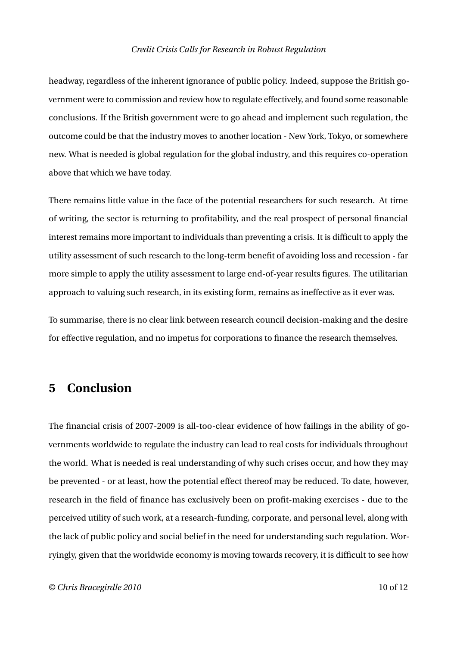headway, regardless of the inherent ignorance of public policy. Indeed, suppose the British government were to commission and review how to regulate effectively, and found some reasonable conclusions. If the British government were to go ahead and implement such regulation, the outcome could be that the industry moves to another location - New York, Tokyo, or somewhere new. What is needed is global regulation for the global industry, and this requires co-operation above that which we have today.

There remains little value in the face of the potential researchers for such research. At time of writing, the sector is returning to profitability, and the real prospect of personal financial interest remains more important to individuals than preventing a crisis. It is difficult to apply the utility assessment of such research to the long-term benefit of avoiding loss and recession - far more simple to apply the utility assessment to large end-of-year results figures. The utilitarian approach to valuing such research, in its existing form, remains as ineffective as it ever was.

To summarise, there is no clear link between research council decision-making and the desire for effective regulation, and no impetus for corporations to finance the research themselves.

## **5 Conclusion**

The financial crisis of 2007-2009 is all-too-clear evidence of how failings in the ability of governments worldwide to regulate the industry can lead to real costs for individuals throughout the world. What is needed is real understanding of why such crises occur, and how they may be prevented - or at least, how the potential effect thereof may be reduced. To date, however, research in the field of finance has exclusively been on profit-making exercises - due to the perceived utility of such work, at a research-funding, corporate, and personal level, along with the lack of public policy and social belief in the need for understanding such regulation. Worryingly, given that the worldwide economy is moving towards recovery, it is difficult to see how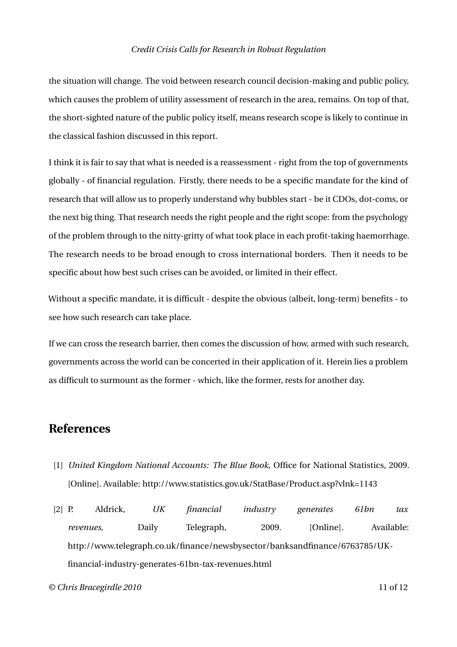the situation will change. The void between research council decision-making and public policy, which causes the problem of utility assessment of research in the area, remains. On top of that, the short-sighted nature of the public policy itself, means research scope is likely to continue in the classical fashion discussed in this report.

I think it is fair to say that what is needed is a reassessment - right from the top of governments globally - of financial regulation. Firstly, there needs to be a specific mandate for the kind of research that will allow us to properly understand why bubbles start - be it CDOs, dot-coms, or the next big thing. That research needs the right people and the right scope: from the psychology of the problem through to the nitty-gritty of what took place in each profit-taking haemorrhage. The research needs to be broad enough to cross international borders. Then it needs to be specific about how best such crises can be avoided, or limited in their effect.

Without a specific mandate, it is difficult - despite the obvious (albeit, long-term) benefits - to see how such research can take place.

If we can cross the research barrier, then comes the discussion of how, armed with such research, governments across the world can be concerted in their application of it. Herein lies a problem as difficult to surmount as the former - which, like the former, rests for another day.

## **References**

- [1] *United Kingdom National Accounts: The Blue Book*, Office for National Statistics, 2009. [Online]. Available: http://www.statistics.gov.uk/StatBase/Product.asp?vlnk=1143
- [2] P. Aldrick, *UK financial industry generates 61bn tax revenues*, Daily Telegraph, 2009. [Online]. Available: http://www.telegraph.co.uk/finance/newsbysector/banksandfinance/6763785/UKfinancial-industry-generates-61bn-tax-revenues.html